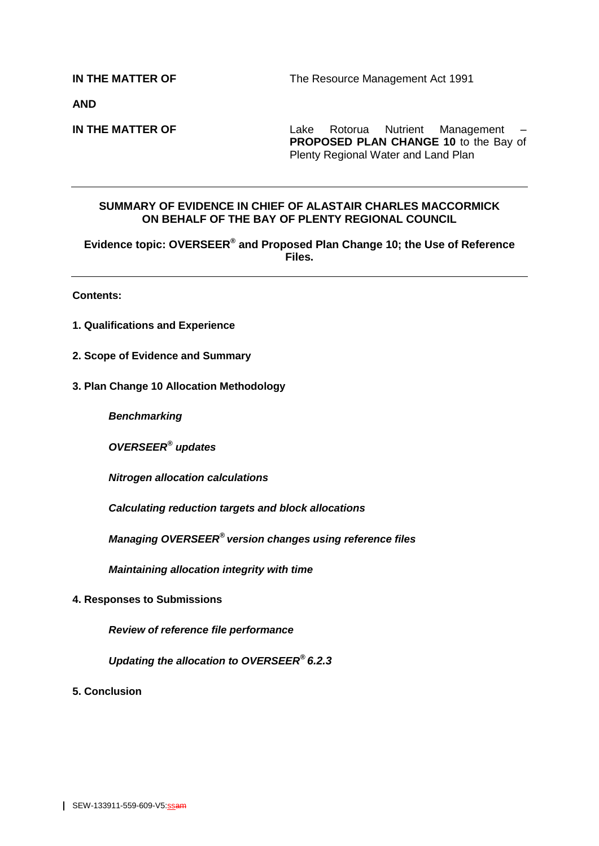**IN THE MATTER OF** The Resource Management Act 1991

**AND**

**IN THE MATTER OF** Lake Rotorua Nutrient Management – **PROPOSED PLAN CHANGE 10** to the Bay of Plenty Regional Water and Land Plan

#### **SUMMARY OF EVIDENCE IN CHIEF OF ALASTAIR CHARLES MACCORMICK ON BEHALF OF THE BAY OF PLENTY REGIONAL COUNCIL**

**Evidence topic: OVERSEER® and Proposed Plan Change 10; the Use of Reference Files.**

**Contents:**

- **1. Qualifications and Experience**
- **2. Scope of Evidence and Summary**
- **3. Plan Change 10 Allocation Methodology**

*Benchmarking*

*OVERSEER® updates*

*Nitrogen allocation calculations*

*Calculating reduction targets and block allocations*

*Managing OVERSEER® version changes using reference files* 

*Maintaining allocation integrity with time*

**4. Responses to Submissions**

*Review of reference file performance*

*Updating the allocation to OVERSEER® 6.2.3*

**5. Conclusion**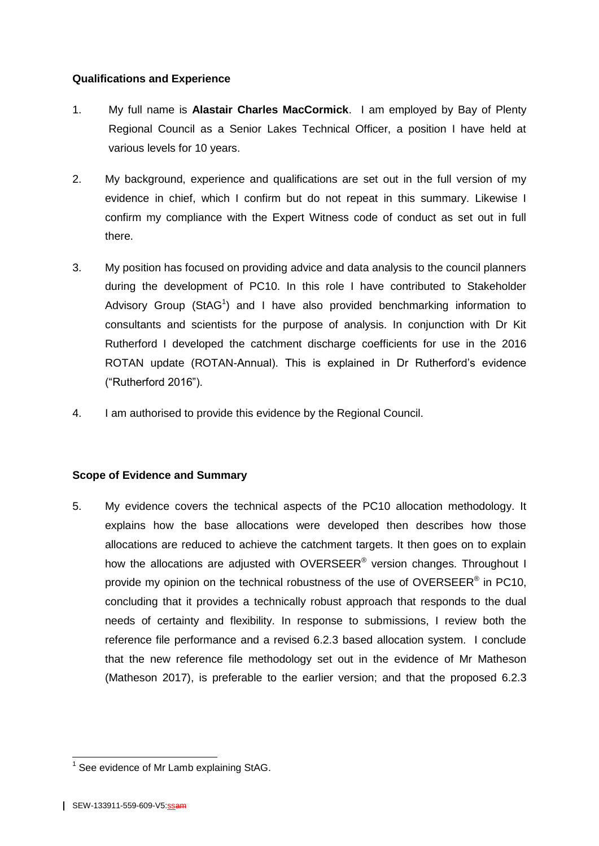# **Qualifications and Experience**

- 1. My full name is **Alastair Charles MacCormick**. I am employed by Bay of Plenty Regional Council as a Senior Lakes Technical Officer, a position I have held at various levels for 10 years.
- 2. My background, experience and qualifications are set out in the full version of my evidence in chief, which I confirm but do not repeat in this summary. Likewise I confirm my compliance with the Expert Witness code of conduct as set out in full there.
- 3. My position has focused on providing advice and data analysis to the council planners during the development of PC10. In this role I have contributed to Stakeholder Advisory Group (StAG<sup>1</sup>) and I have also provided benchmarking information to consultants and scientists for the purpose of analysis. In conjunction with Dr Kit Rutherford I developed the catchment discharge coefficients for use in the 2016 ROTAN update (ROTAN-Annual). This is explained in Dr Rutherford's evidence ("Rutherford 2016").
- 4. I am authorised to provide this evidence by the Regional Council.

## **Scope of Evidence and Summary**

5. My evidence covers the technical aspects of the PC10 allocation methodology. It explains how the base allocations were developed then describes how those allocations are reduced to achieve the catchment targets. It then goes on to explain how the allocations are adjusted with OVERSEER® version changes. Throughout I provide my opinion on the technical robustness of the use of OVERSEER® in PC10, concluding that it provides a technically robust approach that responds to the dual needs of certainty and flexibility. In response to submissions, I review both the reference file performance and a revised 6.2.3 based allocation system. I conclude that the new reference file methodology set out in the evidence of Mr Matheson (Matheson 2017), is preferable to the earlier version; and that the proposed 6.2.3

 1 See evidence of Mr Lamb explaining StAG.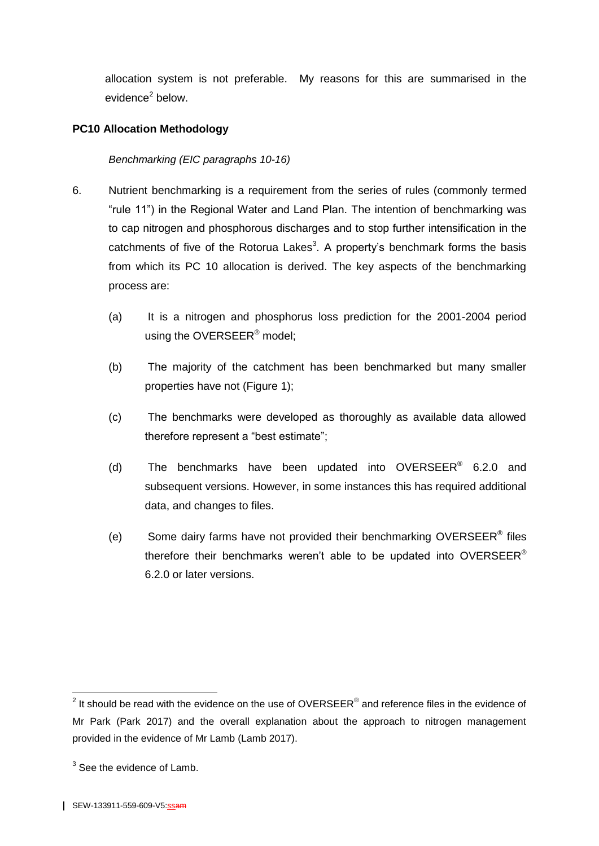allocation system is not preferable. My reasons for this are summarised in the evidence<sup>2</sup> below.

## **PC10 Allocation Methodology**

#### *Benchmarking (EIC paragraphs 10-16)*

- 6. Nutrient benchmarking is a requirement from the series of rules (commonly termed "rule 11") in the Regional Water and Land Plan. The intention of benchmarking was to cap nitrogen and phosphorous discharges and to stop further intensification in the catchments of five of the Rotorua Lakes<sup>3</sup>. A property's benchmark forms the basis from which its PC 10 allocation is derived. The key aspects of the benchmarking process are:
	- (a) It is a nitrogen and phosphorus loss prediction for the 2001-2004 period using the OVERSEER<sup>®</sup> model;
	- (b) The majority of the catchment has been benchmarked but many smaller properties have not [\(Figure 1\)](#page-3-0);
	- (c) The benchmarks were developed as thoroughly as available data allowed therefore represent a "best estimate";
	- (d) The benchmarks have been updated into OVERSEER<sup>®</sup> 6.2.0 and subsequent versions. However, in some instances this has required additional data, and changes to files.
	- (e) Some dairy farms have not provided their benchmarking OVERSEER<sup>®</sup> files therefore their benchmarks weren't able to be updated into OVERSEER<sup>®</sup> 6.2.0 or later versions.

 2 It should be read with the evidence on the use of OVERSEER® and reference files in the evidence of Mr Park (Park 2017) and the overall explanation about the approach to nitrogen management provided in the evidence of Mr Lamb (Lamb 2017).

 $3$  See the evidence of Lamb.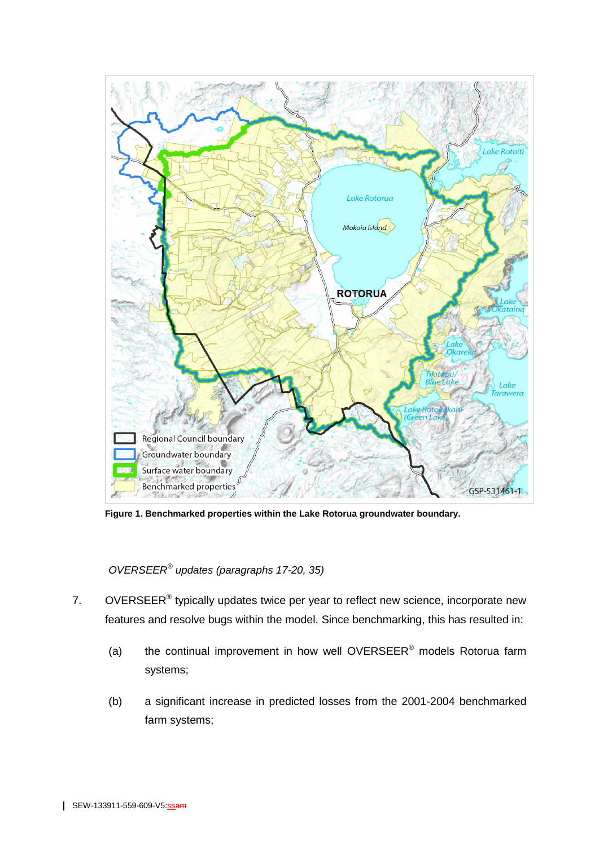

<span id="page-3-0"></span>**Figure 1. Benchmarked properties within the Lake Rotorua groundwater boundary.**

*OVERSEER® updates (paragraphs 17-20, 35)*

- 7. OVERSEER<sup>®</sup> typically updates twice per year to reflect new science, incorporate new features and resolve bugs within the model. Since benchmarking, this has resulted in:
	- (a) the continual improvement in how well OVERSEER<sup>®</sup> models Rotorua farm systems;
	- (b) a significant increase in predicted losses from the 2001-2004 benchmarked farm systems;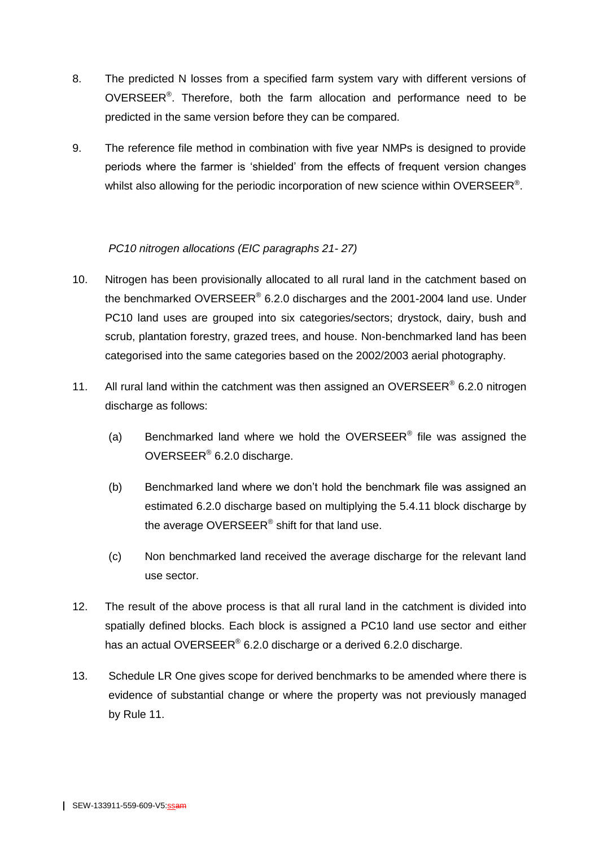- 8. The predicted N losses from a specified farm system vary with different versions of OVERSEER<sup>®</sup>. Therefore, both the farm allocation and performance need to be predicted in the same version before they can be compared.
- 9. The reference file method in combination with five year NMPs is designed to provide periods where the farmer is 'shielded' from the effects of frequent version changes whilst also allowing for the periodic incorporation of new science within OVERSEER®.

# *PC10 nitrogen allocations (EIC paragraphs 21- 27)*

- 10. Nitrogen has been provisionally allocated to all rural land in the catchment based on the benchmarked OVERSEER® 6.2.0 discharges and the 2001-2004 land use. Under PC10 land uses are grouped into six categories/sectors; drystock, dairy, bush and scrub, plantation forestry, grazed trees, and house. Non-benchmarked land has been categorised into the same categories based on the 2002/2003 aerial photography.
- 11. All rural land within the catchment was then assigned an OVERSEER<sup>®</sup> 6.2.0 nitrogen discharge as follows:
	- (a) Benchmarked land where we hold the OVERSEER<sup>®</sup> file was assigned the OVERSEER<sup>®</sup> 6.2.0 discharge.
	- (b) Benchmarked land where we don't hold the benchmark file was assigned an estimated 6.2.0 discharge based on multiplying the 5.4.11 block discharge by the average OVERSEER® shift for that land use.
	- (c) Non benchmarked land received the average discharge for the relevant land use sector.
- 12. The result of the above process is that all rural land in the catchment is divided into spatially defined blocks. Each block is assigned a PC10 land use sector and either has an actual OVERSEER® 6.2.0 discharge or a derived 6.2.0 discharge.
- 13. Schedule LR One gives scope for derived benchmarks to be amended where there is evidence of substantial change or where the property was not previously managed by Rule 11.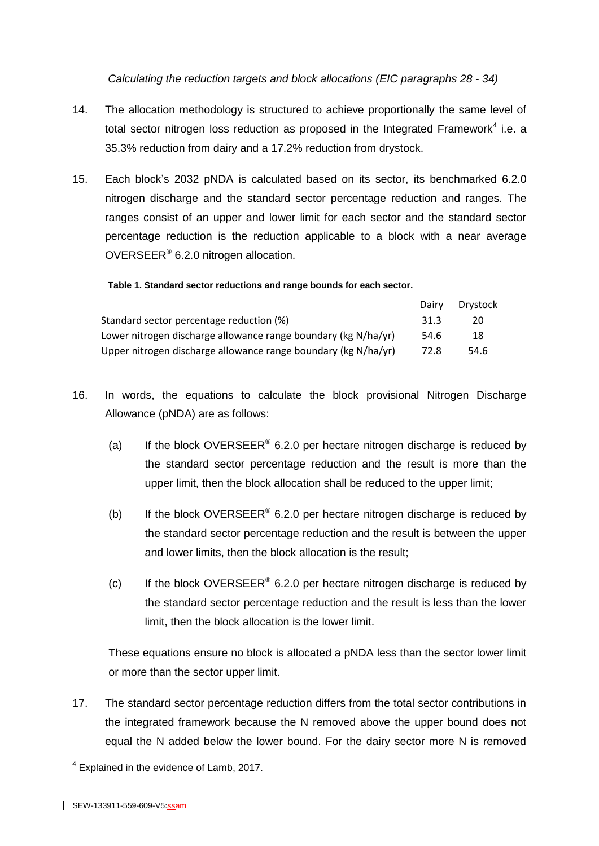*Calculating the reduction targets and block allocations (EIC paragraphs 28 - 34)*

- 14. The allocation methodology is structured to achieve proportionally the same level of total sector nitrogen loss reduction as proposed in the Integrated Framework<sup>4</sup> i.e. a 35.3% reduction from dairy and a 17.2% reduction from drystock.
- 15. Each block's 2032 pNDA is calculated based on its sector, its benchmarked 6.2.0 nitrogen discharge and the standard sector percentage reduction and ranges. The ranges consist of an upper and lower limit for each sector and the standard sector percentage reduction is the reduction applicable to a block with a near average OVERSEER® 6.2.0 nitrogen allocation.

|                                                                | Dairy | Drystock |
|----------------------------------------------------------------|-------|----------|
| Standard sector percentage reduction (%)                       | 31.3  | 20       |
| Lower nitrogen discharge allowance range boundary (kg N/ha/yr) | 54.6  | 18       |
| Upper nitrogen discharge allowance range boundary (kg N/ha/yr) | 72.8  | 54.6     |

**Table 1. Standard sector reductions and range bounds for each sector.**

- 16. In words, the equations to calculate the block provisional Nitrogen Discharge Allowance (pNDA) are as follows:
	- (a) If the block OVERSEER<sup>®</sup> 6.2.0 per hectare nitrogen discharge is reduced by the standard sector percentage reduction and the result is more than the upper limit, then the block allocation shall be reduced to the upper limit;
	- (b) If the block OVERSEER<sup>®</sup> 6.2.0 per hectare nitrogen discharge is reduced by the standard sector percentage reduction and the result is between the upper and lower limits, then the block allocation is the result;
	- (c) If the block OVERSEER<sup>®</sup> 6.2.0 per hectare nitrogen discharge is reduced by the standard sector percentage reduction and the result is less than the lower limit, then the block allocation is the lower limit.

These equations ensure no block is allocated a pNDA less than the sector lower limit or more than the sector upper limit.

17. The standard sector percentage reduction differs from the total sector contributions in the integrated framework because the N removed above the upper bound does not equal the N added below the lower bound. For the dairy sector more N is removed

 4 Explained in the evidence of Lamb, 2017.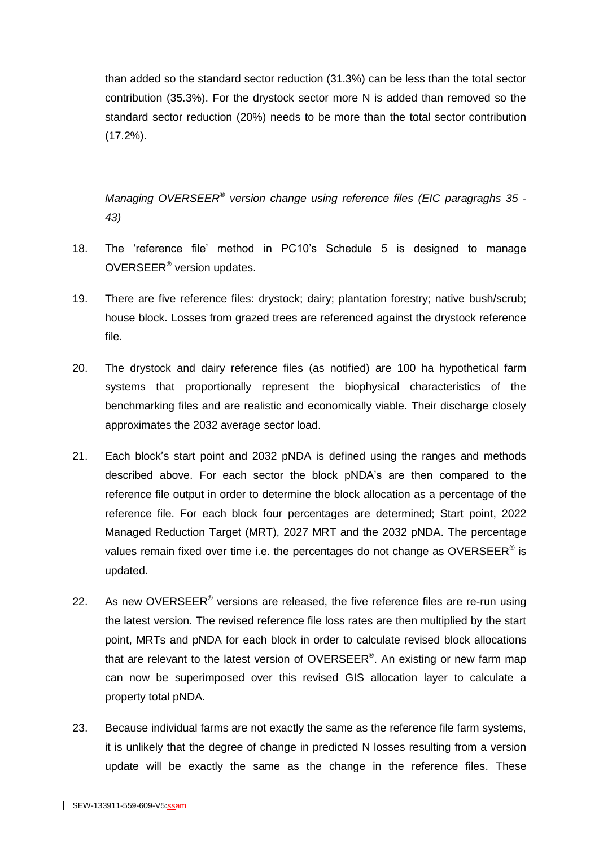than added so the standard sector reduction (31.3%) can be less than the total sector contribution (35.3%). For the drystock sector more N is added than removed so the standard sector reduction (20%) needs to be more than the total sector contribution (17.2%).

*Managing OVERSEER® version change using reference files (EIC paragraghs 35 - 43)*

- 18. The 'reference file' method in PC10's Schedule 5 is designed to manage OVERSEER<sup>®</sup> version updates.
- 19. There are five reference files: drystock; dairy; plantation forestry; native bush/scrub; house block. Losses from grazed trees are referenced against the drystock reference file.
- 20. The drystock and dairy reference files (as notified) are 100 ha hypothetical farm systems that proportionally represent the biophysical characteristics of the benchmarking files and are realistic and economically viable. Their discharge closely approximates the 2032 average sector load.
- 21. Each block's start point and 2032 pNDA is defined using the ranges and methods described above. For each sector the block pNDA's are then compared to the reference file output in order to determine the block allocation as a percentage of the reference file. For each block four percentages are determined; Start point, 2022 Managed Reduction Target (MRT), 2027 MRT and the 2032 pNDA. The percentage values remain fixed over time i.e. the percentages do not change as OVERSEER<sup>®</sup> is updated.
- 22. As new OVERSEER<sup>®</sup> versions are released, the five reference files are re-run using the latest version. The revised reference file loss rates are then multiplied by the start point, MRTs and pNDA for each block in order to calculate revised block allocations that are relevant to the latest version of OVERSEER®. An existing or new farm map can now be superimposed over this revised GIS allocation layer to calculate a property total pNDA.
- 23. Because individual farms are not exactly the same as the reference file farm systems, it is unlikely that the degree of change in predicted N losses resulting from a version update will be exactly the same as the change in the reference files. These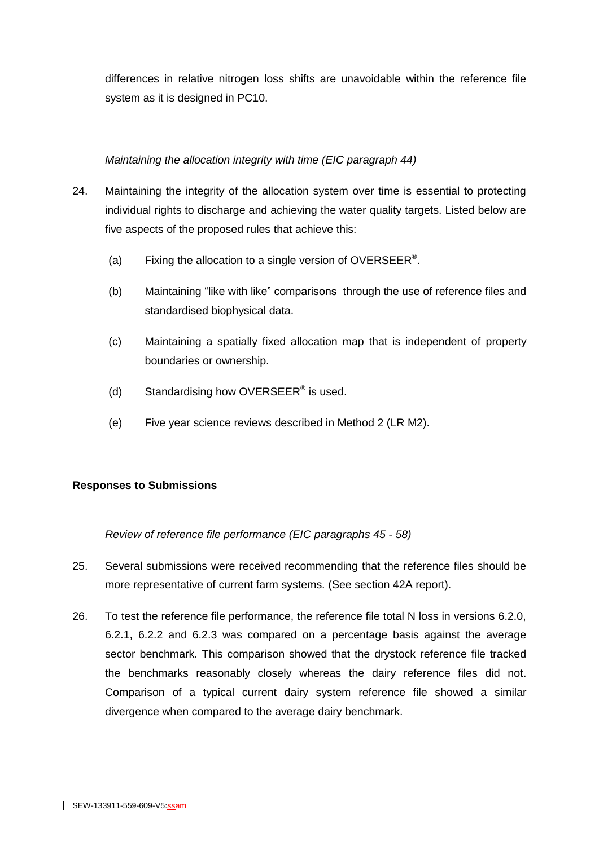differences in relative nitrogen loss shifts are unavoidable within the reference file system as it is designed in PC10.

## *Maintaining the allocation integrity with time (EIC paragraph 44)*

- 24. Maintaining the integrity of the allocation system over time is essential to protecting individual rights to discharge and achieving the water quality targets. Listed below are five aspects of the proposed rules that achieve this:
	- (a) Fixing the allocation to a single version of OVERSEER<sup>®</sup>.
	- (b) Maintaining "like with like" comparisons through the use of reference files and standardised biophysical data.
	- (c) Maintaining a spatially fixed allocation map that is independent of property boundaries or ownership.
	- (d) Standardising how OVERSEER<sup>®</sup> is used.
	- (e) Five year science reviews described in Method 2 (LR M2).

# **Responses to Submissions**

*Review of reference file performance (EIC paragraphs 45 - 58)*

- 25. Several submissions were received recommending that the reference files should be more representative of current farm systems. (See section 42A report).
- 26. To test the reference file performance, the reference file total N loss in versions 6.2.0, 6.2.1, 6.2.2 and 6.2.3 was compared on a percentage basis against the average sector benchmark. This comparison showed that the drystock reference file tracked the benchmarks reasonably closely whereas the dairy reference files did not. Comparison of a typical current dairy system reference file showed a similar divergence when compared to the average dairy benchmark.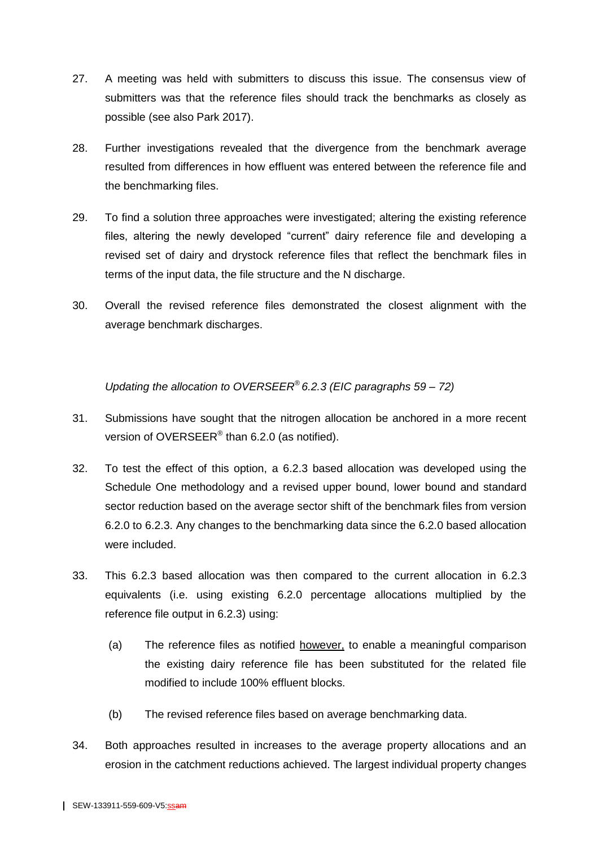- 27. A meeting was held with submitters to discuss this issue. The consensus view of submitters was that the reference files should track the benchmarks as closely as possible (see also Park 2017).
- 28. Further investigations revealed that the divergence from the benchmark average resulted from differences in how effluent was entered between the reference file and the benchmarking files.
- 29. To find a solution three approaches were investigated; altering the existing reference files, altering the newly developed "current" dairy reference file and developing a revised set of dairy and drystock reference files that reflect the benchmark files in terms of the input data, the file structure and the N discharge.
- 30. Overall the revised reference files demonstrated the closest alignment with the average benchmark discharges.

*Updating the allocation to OVERSEER® 6.2.3 (EIC paragraphs 59 – 72)*

- 31. Submissions have sought that the nitrogen allocation be anchored in a more recent version of OVERSEER $^{\circ}$  than 6.2.0 (as notified).
- 32. To test the effect of this option, a 6.2.3 based allocation was developed using the Schedule One methodology and a revised upper bound, lower bound and standard sector reduction based on the average sector shift of the benchmark files from version 6.2.0 to 6.2.3. Any changes to the benchmarking data since the 6.2.0 based allocation were included.
- 33. This 6.2.3 based allocation was then compared to the current allocation in 6.2.3 equivalents (i.e. using existing 6.2.0 percentage allocations multiplied by the reference file output in 6.2.3) using:
	- (a) The reference files as notified however, to enable a meaningful comparison the existing dairy reference file has been substituted for the related file modified to include 100% effluent blocks.
	- (b) The revised reference files based on average benchmarking data.
- 34. Both approaches resulted in increases to the average property allocations and an erosion in the catchment reductions achieved. The largest individual property changes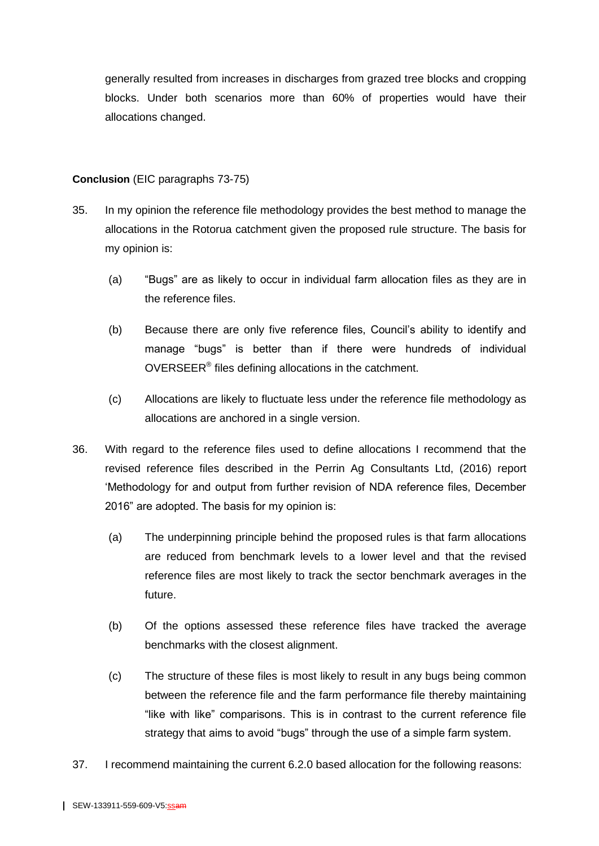generally resulted from increases in discharges from grazed tree blocks and cropping blocks. Under both scenarios more than 60% of properties would have their allocations changed.

## **Conclusion** (EIC paragraphs 73-75)

- 35. In my opinion the reference file methodology provides the best method to manage the allocations in the Rotorua catchment given the proposed rule structure. The basis for my opinion is:
	- (a) "Bugs" are as likely to occur in individual farm allocation files as they are in the reference files.
	- (b) Because there are only five reference files, Council's ability to identify and manage "bugs" is better than if there were hundreds of individual OVERSEER<sup>®</sup> files defining allocations in the catchment.
	- (c) Allocations are likely to fluctuate less under the reference file methodology as allocations are anchored in a single version.
- 36. With regard to the reference files used to define allocations I recommend that the revised reference files described in the Perrin Ag Consultants Ltd, (2016) report 'Methodology for and output from further revision of NDA reference files, December 2016" are adopted. The basis for my opinion is:
	- (a) The underpinning principle behind the proposed rules is that farm allocations are reduced from benchmark levels to a lower level and that the revised reference files are most likely to track the sector benchmark averages in the future.
	- (b) Of the options assessed these reference files have tracked the average benchmarks with the closest alignment.
	- (c) The structure of these files is most likely to result in any bugs being common between the reference file and the farm performance file thereby maintaining "like with like" comparisons. This is in contrast to the current reference file strategy that aims to avoid "bugs" through the use of a simple farm system.
- 37. I recommend maintaining the current 6.2.0 based allocation for the following reasons: